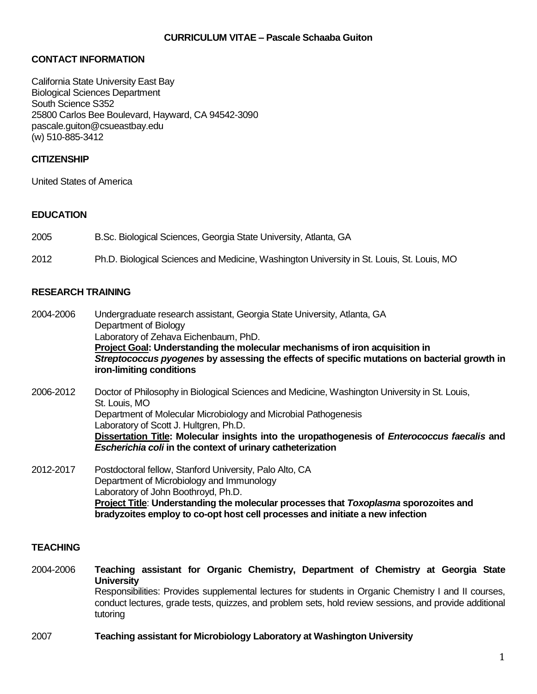### **CURRICULUM VITAE – Pascale Schaaba Guiton**

# **CONTACT INFORMATION**

California State University East Bay Biological Sciences Department South Science S352 25800 Carlos Bee Boulevard, Hayward, CA 94542-3090 pascale.guiton@csueastbay.edu (w) 510-885-3412

## **CITIZENSHIP**

United States of America

### **EDUCATION**

2005 B.Sc. Biological Sciences, Georgia State University, Atlanta, GA

2012 Ph.D. Biological Sciences and Medicine, Washington University in St. Louis, St. Louis, MO

### **RESEARCH TRAINING**

2004-2006 Undergraduate research assistant, Georgia State University, Atlanta, GA Department of Biology Laboratory of Zehava Eichenbaum, PhD. **Project Goal: Understanding the molecular mechanisms of iron acquisition in** *Streptococcus pyogenes* **by assessing the effects of specific mutations on bacterial growth in iron-limiting conditions**

2006-2012 Doctor of Philosophy in Biological Sciences and Medicine, Washington University in St. Louis, St. Louis, MO Department of Molecular Microbiology and Microbial Pathogenesis Laboratory of Scott J. Hultgren, Ph.D. **Dissertation Title: Molecular insights into the uropathogenesis of** *Enterococcus faecalis* **and** *Escherichia coli* **in the context of urinary catheterization**

2012-2017 Postdoctoral fellow, Stanford University, Palo Alto, CA Department of Microbiology and Immunology Laboratory of John Boothroyd, Ph.D. **Project Title**: **Understanding the molecular processes that** *Toxoplasma* **sporozoites and bradyzoites employ to co-opt host cell processes and initiate a new infection**

### **TEACHING**

2004-2006 **Teaching assistant for Organic Chemistry, Department of Chemistry at Georgia State University** Responsibilities: Provides supplemental lectures for students in Organic Chemistry I and II courses, conduct lectures, grade tests, quizzes, and problem sets, hold review sessions, and provide additional tutoring

2007 **Teaching assistant for Microbiology Laboratory at Washington University**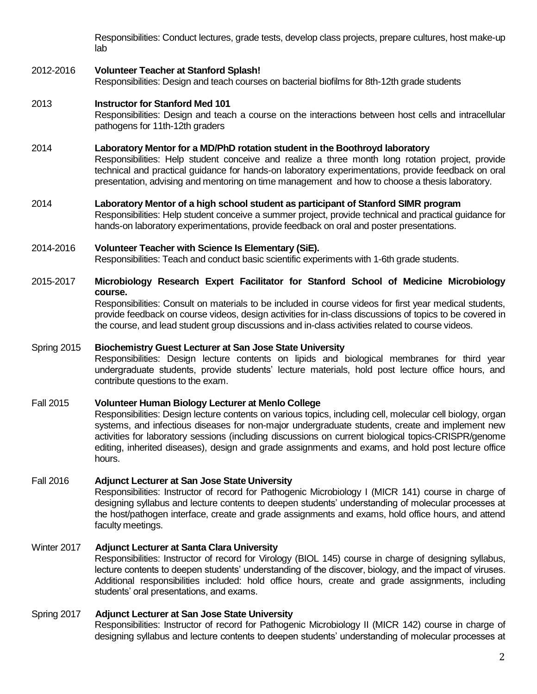Responsibilities: Conduct lectures, grade tests, develop class projects, prepare cultures, host make-up lab

## 2012-2016 **Volunteer Teacher at Stanford Splash!**

Responsibilities: Design and teach courses on bacterial biofilms for 8th-12th grade students

### 2013 **Instructor for Stanford Med 101**

Responsibilities: Design and teach a course on the interactions between host cells and intracellular pathogens for 11th-12th graders

#### 2014 **Laboratory Mentor for a MD/PhD rotation student in the Boothroyd laboratory**

Responsibilities: Help student conceive and realize a three month long rotation project, provide technical and practical guidance for hands-on laboratory experimentations, provide feedback on oral presentation, advising and mentoring on time management and how to choose a thesis laboratory.

#### 2014 **Laboratory Mentor of a high school student as participant of Stanford SIMR program**

Responsibilities: Help student conceive a summer project, provide technical and practical guidance for hands-on laboratory experimentations, provide feedback on oral and poster presentations.

#### 2014-2016 **Volunteer Teacher with Science Is Elementary (SiE).**

Responsibilities: Teach and conduct basic scientific experiments with 1-6th grade students.

### 2015-2017 **Microbiology Research Expert Facilitator for Stanford School of Medicine Microbiology course.**

Responsibilities: Consult on materials to be included in course videos for first year medical students, provide feedback on course videos, design activities for in-class discussions of topics to be covered in the course, and lead student group discussions and in-class activities related to course videos.

### Spring 2015 **Biochemistry Guest Lecturer at San Jose State University**

Responsibilities: Design lecture contents on lipids and biological membranes for third year undergraduate students, provide students' lecture materials, hold post lecture office hours, and contribute questions to the exam.

### Fall 2015 **Volunteer Human Biology Lecturer at Menlo College**

Responsibilities: Design lecture contents on various topics, including cell, molecular cell biology, organ systems, and infectious diseases for non-major undergraduate students, create and implement new activities for laboratory sessions (including discussions on current biological topics-CRISPR/genome editing, inherited diseases), design and grade assignments and exams, and hold post lecture office hours.

### Fall 2016 **Adjunct Lecturer at San Jose State University**

Responsibilities: Instructor of record for Pathogenic Microbiology I (MICR 141) course in charge of designing syllabus and lecture contents to deepen students' understanding of molecular processes at the host/pathogen interface, create and grade assignments and exams, hold office hours, and attend faculty meetings.

### Winter 2017 **Adjunct Lecturer at Santa Clara University**

Responsibilities: Instructor of record for Virology (BIOL 145) course in charge of designing syllabus, lecture contents to deepen students' understanding of the discover, biology, and the impact of viruses. Additional responsibilities included: hold office hours, create and grade assignments, including students' oral presentations, and exams.

### Spring 2017 **Adjunct Lecturer at San Jose State University**

Responsibilities: Instructor of record for Pathogenic Microbiology II (MICR 142) course in charge of designing syllabus and lecture contents to deepen students' understanding of molecular processes at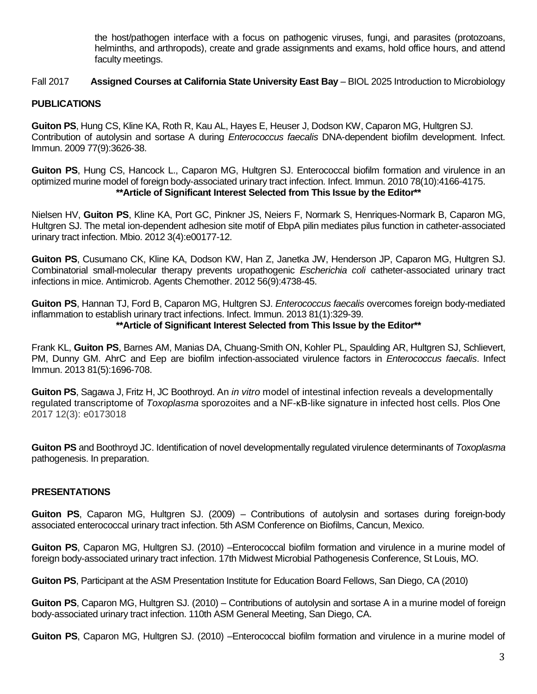the host/pathogen interface with a focus on pathogenic viruses, fungi, and parasites (protozoans, helminths, and arthropods), create and grade assignments and exams, hold office hours, and attend faculty meetings.

## Fall 2017 **Assigned Courses at California State University East Bay** – BIOL 2025 Introduction to Microbiology

## **PUBLICATIONS**

**Guiton PS**, Hung CS, Kline KA, Roth R, Kau AL, Hayes E, Heuser J, Dodson KW, Caparon MG, Hultgren SJ. Contribution of autolysin and sortase A during *Enterococcus faecalis* DNA-dependent biofilm development. Infect. Immun. 2009 77(9):3626-38.

**Guiton PS**, Hung CS, Hancock L., Caparon MG, Hultgren SJ. Enterococcal biofilm formation and virulence in an optimized murine model of foreign body-associated urinary tract infection. Infect. Immun. 2010 78(10):4166-4175. **\*\*Article of Significant Interest Selected from This Issue by the Editor\*\***

Nielsen HV, **Guiton PS**, Kline KA, Port GC, Pinkner JS, Neiers F, Normark S, Henriques-Normark B, Caparon MG, Hultgren SJ. The metal ion-dependent adhesion site motif of EbpA pilin mediates pilus function in catheter-associated urinary tract infection. Mbio. 2012 3(4):e00177-12.

**Guiton PS**, Cusumano CK, Kline KA, Dodson KW, Han Z, Janetka JW, Henderson JP, Caparon MG, Hultgren SJ. Combinatorial small-molecular therapy prevents uropathogenic *Escherichia coli* catheter-associated urinary tract infections in mice. Antimicrob. Agents Chemother. 2012 56(9):4738-45.

**Guiton PS**, Hannan TJ, Ford B, Caparon MG, Hultgren SJ. *Enterococcus faecalis* overcomes foreign body-mediated inflammation to establish urinary tract infections. Infect. Immun. 2013 81(1):329-39. **\*\*Article of Significant Interest Selected from This Issue by the Editor\*\***

Frank KL, **Guiton PS**, Barnes AM, Manias DA, Chuang-Smith ON, Kohler PL, Spaulding AR, Hultgren SJ, Schlievert, PM, Dunny GM. AhrC and Eep are biofilm infection-associated virulence factors in *Enterococcus faecalis*. Infect Immun. 2013 81(5):1696-708.

**Guiton PS**, Sagawa J, Fritz H, JC Boothroyd. An *in vitro* model of intestinal infection reveals a developmentally regulated transcriptome of *Toxoplasma* sporozoites and a NF-κB-like signature in infected host cells. Plos One 2017 12(3): e0173018

**Guiton PS** and Boothroyd JC. Identification of novel developmentally regulated virulence determinants of *Toxoplasma* pathogenesis. In preparation.

# **PRESENTATIONS**

**Guiton PS**, Caparon MG, Hultgren SJ. (2009) – Contributions of autolysin and sortases during foreign-body associated enterococcal urinary tract infection. 5th ASM Conference on Biofilms, Cancun, Mexico.

**Guiton PS**, Caparon MG, Hultgren SJ. (2010) –Enterococcal biofilm formation and virulence in a murine model of foreign body-associated urinary tract infection. 17th Midwest Microbial Pathogenesis Conference, St Louis, MO.

**Guiton PS**, Participant at the ASM Presentation Institute for Education Board Fellows, San Diego, CA (2010)

**Guiton PS**, Caparon MG, Hultgren SJ. (2010) – Contributions of autolysin and sortase A in a murine model of foreign body-associated urinary tract infection. 110th ASM General Meeting, San Diego, CA.

**Guiton PS**, Caparon MG, Hultgren SJ. (2010) –Enterococcal biofilm formation and virulence in a murine model of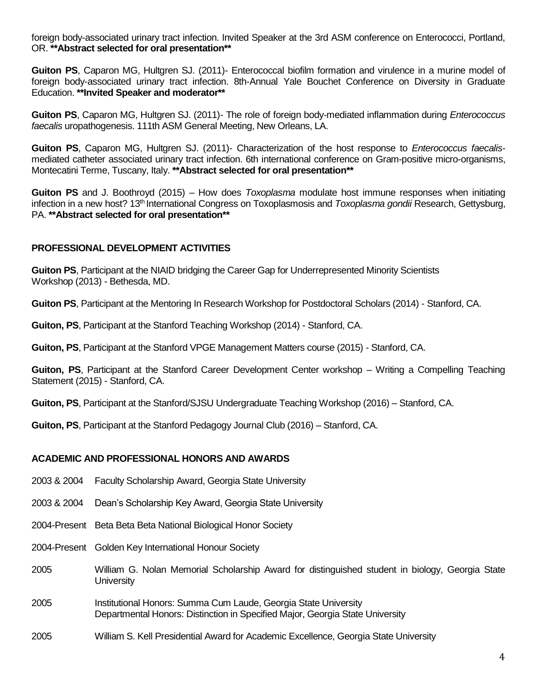foreign body-associated urinary tract infection. Invited Speaker at the 3rd ASM conference on Enterococci, Portland, OR. **\*\*Abstract selected for oral presentation\*\***

**Guiton PS**, Caparon MG, Hultgren SJ. (2011)- Enterococcal biofilm formation and virulence in a murine model of foreign body-associated urinary tract infection. 8th-Annual Yale Bouchet Conference on Diversity in Graduate Education. **\*\*Invited Speaker and moderator\*\***

**Guiton PS**, Caparon MG, Hultgren SJ. (2011)- The role of foreign body-mediated inflammation during *Enterococcus faecalis* uropathogenesis. 111th ASM General Meeting, New Orleans, LA.

**Guiton PS**, Caparon MG, Hultgren SJ. (2011)- Characterization of the host response to *Enterococcus faecalis*mediated catheter associated urinary tract infection. 6th international conference on Gram-positive micro-organisms, Montecatini Terme, Tuscany, Italy. **\*\*Abstract selected for oral presentation\*\***

**Guiton PS** and J. Boothroyd (2015) – How does *Toxoplasma* modulate host immune responses when initiating infection in a new host? 13<sup>th</sup> International Congress on Toxoplasmosis and *Toxoplasma gondii* Research, Gettysburg, PA. **\*\*Abstract selected for oral presentation\*\***

# **PROFESSIONAL DEVELOPMENT ACTIVITIES**

**Guiton PS**, Participant at the NIAID bridging the Career Gap for Underrepresented Minority Scientists Workshop (2013) - Bethesda, MD.

**Guiton PS**, Participant at the Mentoring In Research Workshop for Postdoctoral Scholars (2014) - Stanford, CA.

**Guiton, PS**, Participant at the Stanford Teaching Workshop (2014) - Stanford, CA.

**Guiton, PS**, Participant at the Stanford VPGE Management Matters course (2015) - Stanford, CA.

**Guiton, PS**, Participant at the Stanford Career Development Center workshop – Writing a Compelling Teaching Statement (2015) - Stanford, CA.

**Guiton, PS**, Participant at the Stanford/SJSU Undergraduate Teaching Workshop (2016) – Stanford, CA.

**Guiton, PS**, Participant at the Stanford Pedagogy Journal Club (2016) – Stanford, CA.

# **ACADEMIC AND PROFESSIONAL HONORS AND AWARDS**

- 2003 & 2004 Faculty Scholarship Award, Georgia State University
- 2003 & 2004 Dean's Scholarship Key Award, Georgia State University
- 2004-Present Beta Beta Beta National Biological Honor Society
- 2004-Present Golden Key International Honour Society
- 2005 William G. Nolan Memorial Scholarship Award for distinguished student in biology, Georgia State **University**
- 2005 Institutional Honors: Summa Cum Laude, Georgia State University Departmental Honors: Distinction in Specified Major, Georgia State University
- 2005 William S. Kell Presidential Award for Academic Excellence, Georgia State University